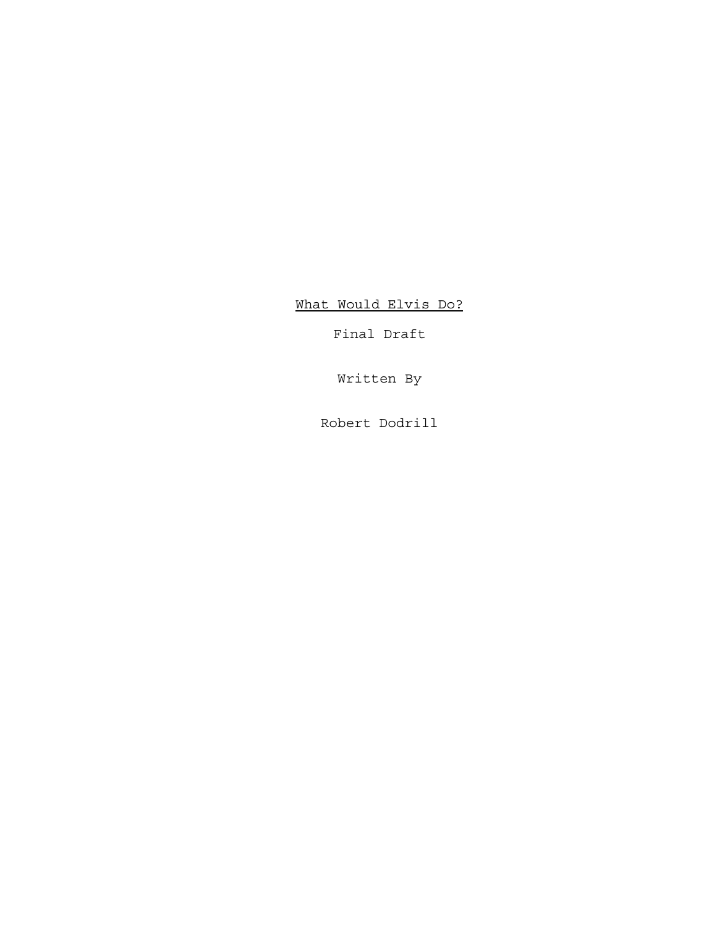What Would Elvis Do?

Final Draft

Written By

Robert Dodrill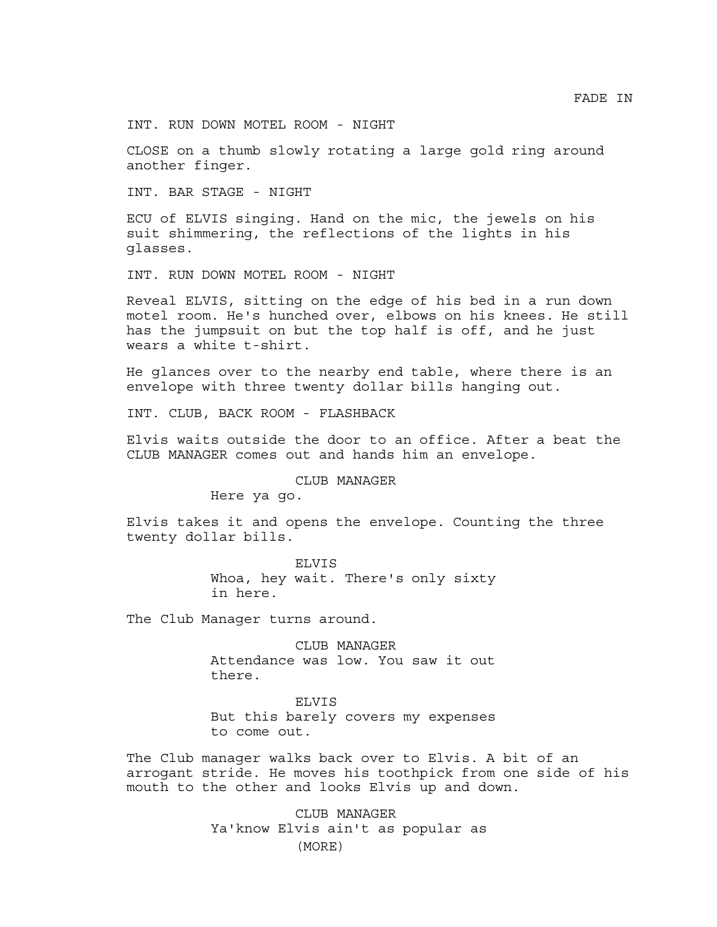INT. RUN DOWN MOTEL ROOM - NIGHT

CLOSE on a thumb slowly rotating a large gold ring around another finger.

INT. BAR STAGE - NIGHT

ECU of ELVIS singing. Hand on the mic, the jewels on his suit shimmering, the reflections of the lights in his glasses.

INT. RUN DOWN MOTEL ROOM - NIGHT

Reveal ELVIS, sitting on the edge of his bed in a run down motel room. He's hunched over, elbows on his knees. He still has the jumpsuit on but the top half is off, and he just wears a white t-shirt.

He glances over to the nearby end table, where there is an envelope with three twenty dollar bills hanging out.

INT. CLUB, BACK ROOM - FLASHBACK

Elvis waits outside the door to an office. After a beat the CLUB MANAGER comes out and hands him an envelope.

CLUB MANAGER

Here ya go.

Elvis takes it and opens the envelope. Counting the three twenty dollar bills.

> ELVIS Whoa, hey wait. There's only sixty in here.

The Club Manager turns around.

CLUB MANAGER Attendance was low. You saw it out there.

ELVIS

But this barely covers my expenses to come out.

The Club manager walks back over to Elvis. A bit of an arrogant stride. He moves his toothpick from one side of his mouth to the other and looks Elvis up and down.

> CLUB MANAGER Ya'know Elvis ain't as popular as (MORE)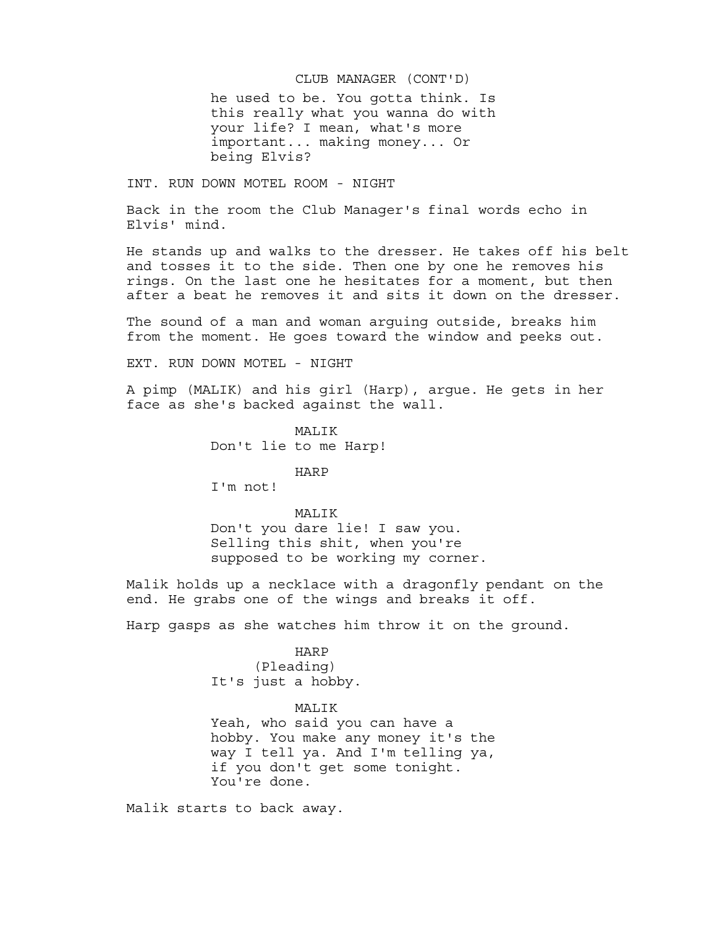# he used to be. You gotta think. Is CLUB MANAGER (CONT'D) this really what you wanna do with your life? I mean, what's more important... making money... Or

INT. RUN DOWN MOTEL ROOM - NIGHT

being Elvis?

Back in the room the Club Manager's final words echo in Elvis' mind.

He stands up and walks to the dresser. He takes off his belt and tosses it to the side. Then one by one he removes his rings. On the last one he hesitates for a moment, but then after a beat he removes it and sits it down on the dresser.

The sound of a man and woman arguing outside, breaks him from the moment. He goes toward the window and peeks out.

EXT. RUN DOWN MOTEL - NIGHT

A pimp (MALIK) and his girl (Harp), argue. He gets in her face as she's backed against the wall.

> MALIK Don't lie to me Harp!

> > HARP

I'm not!

## MALIK

Don't you dare lie! I saw you. Selling this shit, when you're supposed to be working my corner.

Malik holds up a necklace with a dragonfly pendant on the end. He grabs one of the wings and breaks it off.

Harp gasps as she watches him throw it on the ground.

HARP (Pleading) It's just a hobby.

MALIK

Yeah, who said you can have a hobby. You make any money it's the way I tell ya. And I'm telling ya, if you don't get some tonight. You're done.

Malik starts to back away.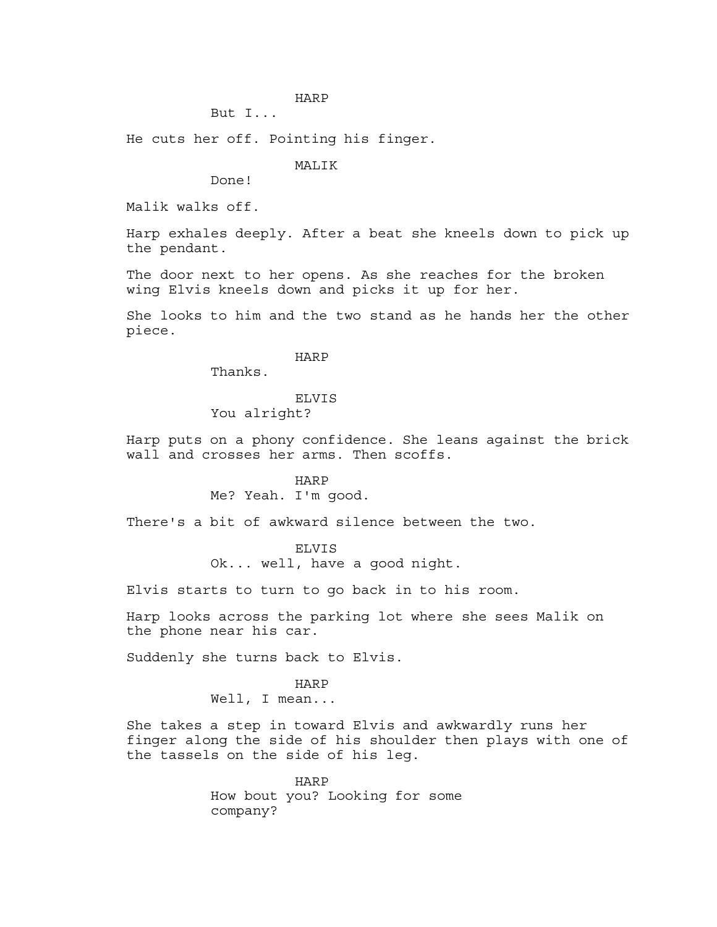## HARP

# But I...

He cuts her off. Pointing his finger.

## MALIK

Done!

Malik walks off.

Harp exhales deeply. After a beat she kneels down to pick up the pendant.

The door next to her opens. As she reaches for the broken wing Elvis kneels down and picks it up for her.

She looks to him and the two stand as he hands her the other piece.

# HARP

Thanks.

# ELVIS

You alright?

Harp puts on a phony confidence. She leans against the brick wall and crosses her arms. Then scoffs.

#### HARP

Me? Yeah. I'm good.

There's a bit of awkward silence between the two.

#### ELVIS

Ok... well, have a good night.

Elvis starts to turn to go back in to his room.

Harp looks across the parking lot where she sees Malik on the phone near his car.

Suddenly she turns back to Elvis.

### HARP

Well, I mean...

She takes a step in toward Elvis and awkwardly runs her finger along the side of his shoulder then plays with one of the tassels on the side of his leg.

> HARP How bout you? Looking for some company?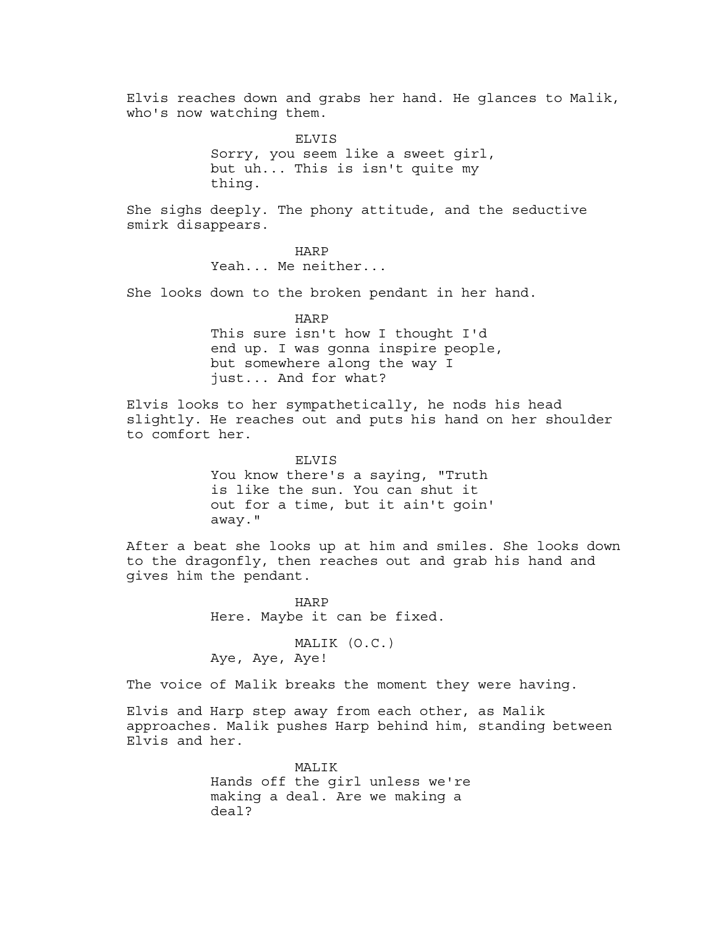Elvis reaches down and grabs her hand. He glances to Malik, who's now watching them.

> ELVIS Sorry, you seem like a sweet girl, but uh... This is isn't quite my thing.

She sighs deeply. The phony attitude, and the seductive smirk disappears.

> HARP Yeah... Me neither...

She looks down to the broken pendant in her hand.

HARP This sure isn't how I thought I'd end up. I was gonna inspire people, but somewhere along the way I just... And for what?

Elvis looks to her sympathetically, he nods his head slightly. He reaches out and puts his hand on her shoulder to comfort her.

> ELVIS You know there's a saying, "Truth is like the sun. You can shut it out for a time, but it ain't goin' away."

After a beat she looks up at him and smiles. She looks down to the dragonfly, then reaches out and grab his hand and gives him the pendant.

> HARP Here. Maybe it can be fixed.

MALIK (O.C.) Aye, Aye, Aye!

The voice of Malik breaks the moment they were having.

Elvis and Harp step away from each other, as Malik approaches. Malik pushes Harp behind him, standing between Elvis and her.

> MALIK Hands off the girl unless we're making a deal. Are we making a deal?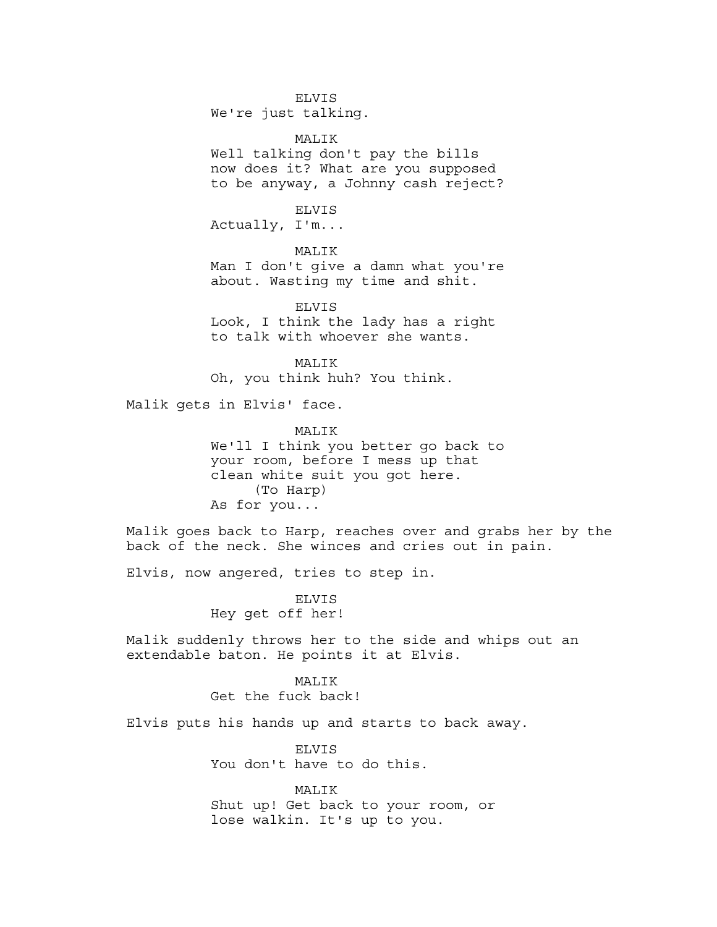ELVIS We're just talking.

MALIK Well talking don't pay the bills now does it? What are you supposed to be anyway, a Johnny cash reject?

ELVIS Actually, I'm...

**MALIK** 

Man I don't give a damn what you're about. Wasting my time and shit.

ELVIS Look, I think the lady has a right to talk with whoever she wants.

MALIK Oh, you think huh? You think.

Malik gets in Elvis' face.

MALIK We'll I think you better go back to your room, before I mess up that clean white suit you got here. (To Harp) As for you...

Malik goes back to Harp, reaches over and grabs her by the back of the neck. She winces and cries out in pain.

Elvis, now angered, tries to step in.

ELVIS Hey get off her!

Malik suddenly throws her to the side and whips out an extendable baton. He points it at Elvis.

**MALIK** 

Get the fuck back!

Elvis puts his hands up and starts to back away.

ELVIS You don't have to do this.

MALIK Shut up! Get back to your room, or lose walkin. It's up to you.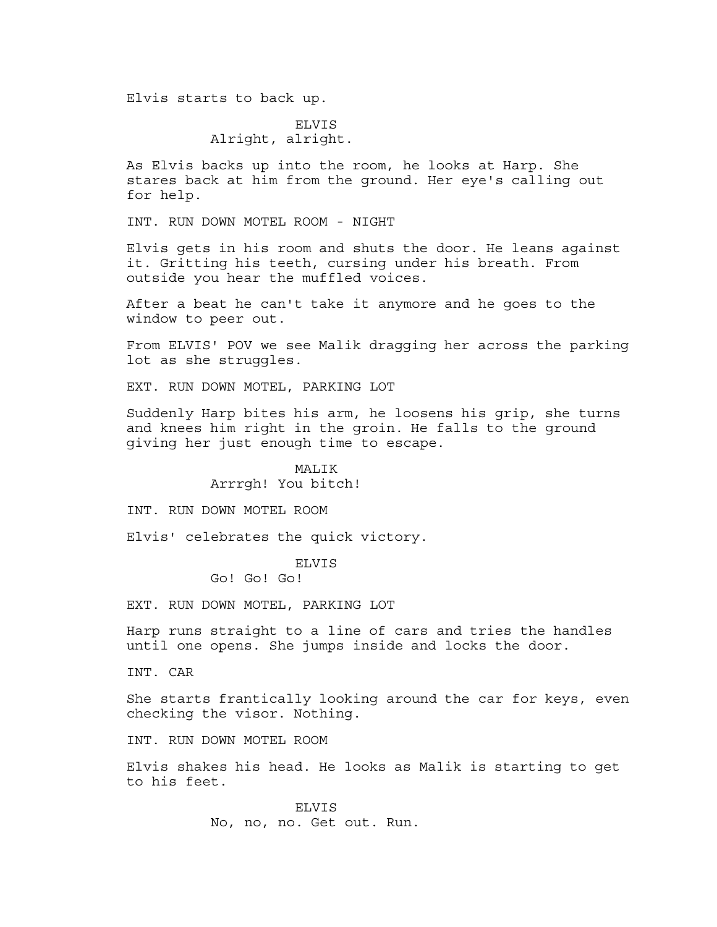Elvis starts to back up.

# ELVIS Alright, alright.

As Elvis backs up into the room, he looks at Harp. She stares back at him from the ground. Her eye's calling out for help.

INT. RUN DOWN MOTEL ROOM - NIGHT

Elvis gets in his room and shuts the door. He leans against it. Gritting his teeth, cursing under his breath. From outside you hear the muffled voices.

After a beat he can't take it anymore and he goes to the window to peer out.

From ELVIS' POV we see Malik dragging her across the parking lot as she struggles.

EXT. RUN DOWN MOTEL, PARKING LOT

Suddenly Harp bites his arm, he loosens his grip, she turns and knees him right in the groin. He falls to the ground giving her just enough time to escape.

### MALIK

# Arrrgh! You bitch!

INT. RUN DOWN MOTEL ROOM

Elvis' celebrates the quick victory.

ELVIS

Go! Go! Go!

EXT. RUN DOWN MOTEL, PARKING LOT

Harp runs straight to a line of cars and tries the handles until one opens. She jumps inside and locks the door.

INT. CAR

She starts frantically looking around the car for keys, even checking the visor. Nothing.

INT. RUN DOWN MOTEL ROOM

Elvis shakes his head. He looks as Malik is starting to get to his feet.

> **ELVIS** No, no, no. Get out. Run.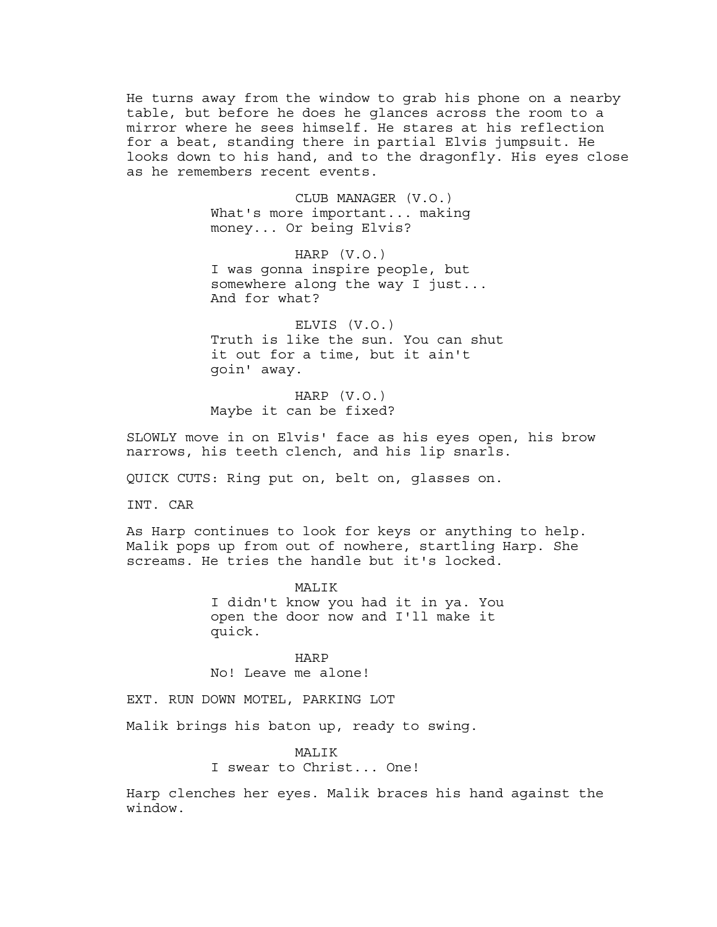He turns away from the window to grab his phone on a nearby table, but before he does he glances across the room to a mirror where he sees himself. He stares at his reflection for a beat, standing there in partial Elvis jumpsuit. He looks down to his hand, and to the dragonfly. His eyes close as he remembers recent events.

> CLUB MANAGER (V.O.) What's more important... making money... Or being Elvis?

HARP (V.O.) I was gonna inspire people, but somewhere along the way I just... And for what?

ELVIS (V.O.) Truth is like the sun. You can shut it out for a time, but it ain't goin' away.

HARP (V.O.) Maybe it can be fixed?

SLOWLY move in on Elvis' face as his eyes open, his brow narrows, his teeth clench, and his lip snarls.

QUICK CUTS: Ring put on, belt on, glasses on.

INT. CAR

As Harp continues to look for keys or anything to help. Malik pops up from out of nowhere, startling Harp. She screams. He tries the handle but it's locked.

> MALIK I didn't know you had it in ya. You open the door now and I'll make it quick.

HARP No! Leave me alone!

EXT. RUN DOWN MOTEL, PARKING LOT

Malik brings his baton up, ready to swing.

**MALIK** I swear to Christ... One!

Harp clenches her eyes. Malik braces his hand against the window.